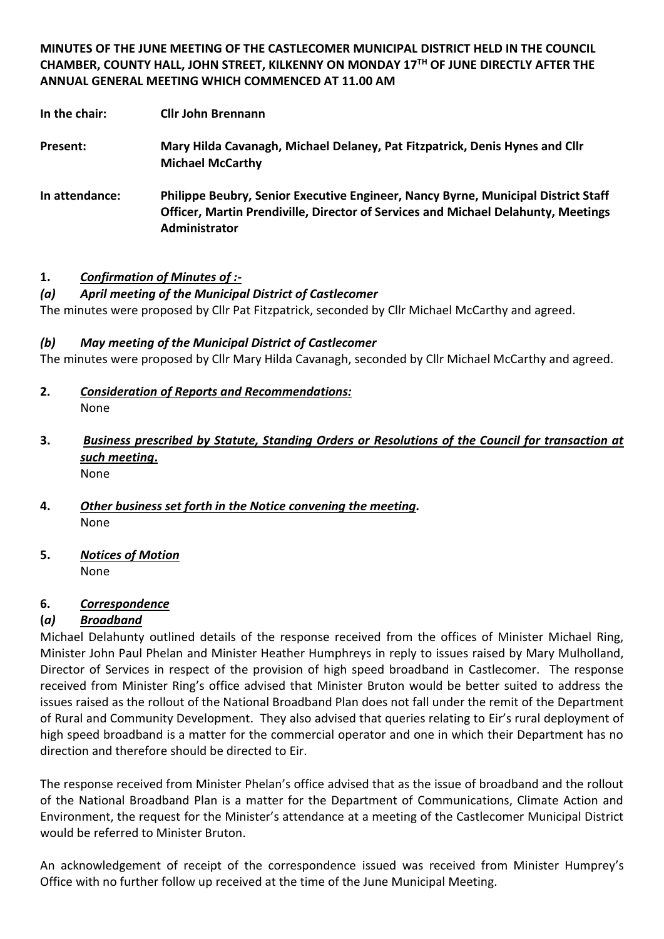**MINUTES OF THE JUNE MEETING OF THE CASTLECOMER MUNICIPAL DISTRICT HELD IN THE COUNCIL CHAMBER, COUNTY HALL, JOHN STREET, KILKENNY ON MONDAY 17TH OF JUNE DIRECTLY AFTER THE ANNUAL GENERAL MEETING WHICH COMMENCED AT 11.00 AM**

**In the chair: Cllr John Brennann**

- **Present: Mary Hilda Cavanagh, Michael Delaney, Pat Fitzpatrick, Denis Hynes and Cllr Michael McCarthy**
- **In attendance: Philippe Beubry, Senior Executive Engineer, Nancy Byrne, Municipal District Staff Officer, Martin Prendiville, Director of Services and Michael Delahunty, Meetings Administrator**

### **1.** *Confirmation of Minutes of :-*

## *(a) April meeting of the Municipal District of Castlecomer*

The minutes were proposed by Cllr Pat Fitzpatrick, seconded by Cllr Michael McCarthy and agreed.

### *(b) May meeting of the Municipal District of Castlecomer*

The minutes were proposed by Cllr Mary Hilda Cavanagh, seconded by Cllr Michael McCarthy and agreed.

- **2.** *Consideration of Reports and Recommendations:* None
- **3.** *Business prescribed by Statute, Standing Orders or Resolutions of the Council for transaction at such meeting***.** None
- **4.** *Other business set forth in the Notice convening the meeting.* None
- **5.** *Notices of Motion* None

### **6.** *Correspondence*

### **(***a) Broadband*

Michael Delahunty outlined details of the response received from the offices of Minister Michael Ring, Minister John Paul Phelan and Minister Heather Humphreys in reply to issues raised by Mary Mulholland, Director of Services in respect of the provision of high speed broadband in Castlecomer. The response received from Minister Ring's office advised that Minister Bruton would be better suited to address the issues raised as the rollout of the National Broadband Plan does not fall under the remit of the Department of Rural and Community Development. They also advised that queries relating to Eir's rural deployment of high speed broadband is a matter for the commercial operator and one in which their Department has no direction and therefore should be directed to Eir.

The response received from Minister Phelan's office advised that as the issue of broadband and the rollout of the National Broadband Plan is a matter for the Department of Communications, Climate Action and Environment, the request for the Minister's attendance at a meeting of the Castlecomer Municipal District would be referred to Minister Bruton.

An acknowledgement of receipt of the correspondence issued was received from Minister Humprey's Office with no further follow up received at the time of the June Municipal Meeting.